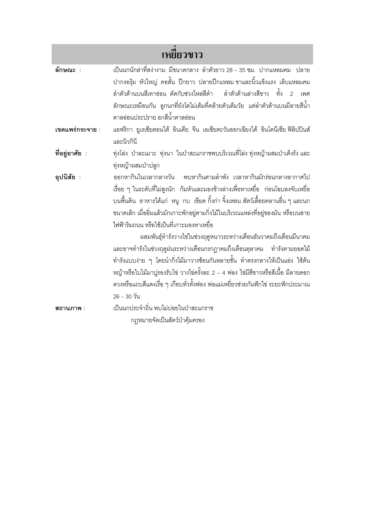| เหยี่ยวขาว      |                                                                                                                                                                                                                                                                                                                                                                                                                       |
|-----------------|-----------------------------------------------------------------------------------------------------------------------------------------------------------------------------------------------------------------------------------------------------------------------------------------------------------------------------------------------------------------------------------------------------------------------|
| ลักษณะ :        | ้เป็นนกนักล่าที่สง่างาม มีขนาดกลาง ลำตัวยาว 28 – 35 ซม. ปากแหลมคม  ปลาย<br>ปากงองุ้ม หัวใหญ่ คอสั้น ปีกยาว ปลายปีกแหลม ขาและนิ้วแข็งแรง เล็บแหลมคม<br>้ลำตัวด้านบนสีเทาอ่อน ตัดกับช่วงไหล่สีดำ   ลำตัวด้านล่างสีขาว  ทั้ง<br>$\overline{2}$<br>เพศ<br>้ลักษณะเหมือนกัน ลูกนกที่ยังโตไม่เต็มที่คล้ายตัวเต็มวัย แต่ลำตัวด้านบนมีลายสีน้ำ<br>ตาลอ่อนประปราย อกสีน้ำตาลอ่อน                                               |
| เขตแพร่กระจาย : | แอฟริกา ยูเรเซียตอนใต้ อินเดีย จีน เอเชียตะวันออกเฉียงใต้ อินโดนีเซีย ฟิลิปปินส์<br>และนิวกินี                                                                                                                                                                                                                                                                                                                        |
| ที่อยู่อาศัย :  | ทุ่งโล่ง ป่าละเมาะ ทุ่งนา ในป่าสะแกราชพบบริเวณที่โล่งทุ่งหญ้าผสมป่าเต็งรังและ<br>ทุ่งหญ้าผสมป่าปลูก                                                                                                                                                                                                                                                                                                                   |
| อุปนิสัย :      | ืออกหากินในเวลากลางวัน พบหากินตามลำพัง เวลาหากินมักร่อนกลางอากาศไป<br>เรื่อย ๆ ในระดับที่ไม่สูงนัก  ก้มหัวและมองข้างล่างเพื่อหาเหยื่อ  ก่อนโฉบลงจับเหยื่อ<br>็บนพื้นดิน อาหารได้แก่ หนู กบ เขียด กิ้งก่า จิ้งเหลน สัตว์เลื้อยคลานอื่น ๆ และนก<br>ขนาดเล็ก เมื่ออิ่มแล้วมักเกาะพักอยู่ตามกิ่งไม้ในบริเวณแหล่งที่อยู่ของมัน หรือบนสาย<br>ไฟฟ้าริมถนน หรือใช้เป็นที่เกาะมองหาเหยื่อ                                      |
|                 | ผสมพันธุ์ทำรังวางไข่ในช่วงฤดูหนาวระหว่างเดือนธันวาคมถึงเดือนมีนาคม<br>และอาจทำรังในช่วงฤดูฝนระหว่างเดือนกรกฎาคมถึงเดือนตุลาคม ทำรังตามยอดไม้<br>ทำรังแบบง่าย ๆ โดยนำกิ่งไม้มาวางซ้อนกันหลายชั้น ทำตรงกลางให้เป็นแอ่ง ใช้ต้น<br>หญ้าหรือใบไม้มาปูรองรับไข่ วางไข่ครั้งละ 2 – 4 ฟอง ไข่มีสีขาวหรือสีเนื้อ มีลายดอก<br>ดวงหรือแถบสีแดงเรื่อ ๆ เกือบทั่วทั้งฟอง พ่อแม่เหยี่ยวช่วยกันฟักไข่ ระยะฟักประมาณ<br>$26 - 30$ วัน |
| สถานภาพ :       | เป็นนกประจำถิ่น พบไม่บ่อยในป่าสะแกราช                                                                                                                                                                                                                                                                                                                                                                                 |
|                 | กฎหมายจัดเป็นสัตว์ป่าคุ้มครอง                                                                                                                                                                                                                                                                                                                                                                                         |